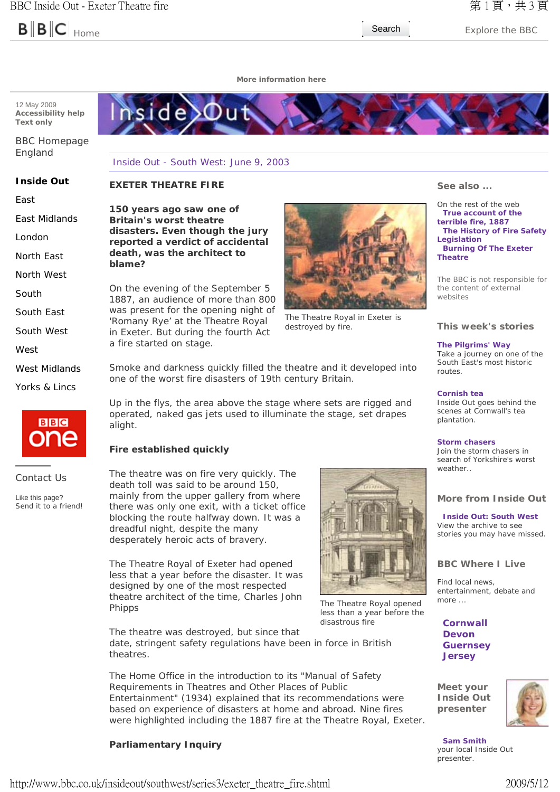

Home **Search** Explore the BBC

**More information here**



BBC Homepage England

# Inside Out - South West: June 9, 2003

**150 years ago saw one of Britain's worst theatre** 

On the evening of the September 5 1887, an audience of more than 800 was present for the opening night of *'Romany Rye'* at the Theatre Royal in Exeter. But during the fourth Act

#### **Inside Out EXETER THEATRE FIRE**

**blame?**

East

East Midlands

London

North East

North West

South

South East

South West

West

West Midlands

Yorks & Lincs



Contact Us

Like this page? Send it to a friend!



The Theatre Royal in Exeter is destroyed by fire.

Smoke and darkness quickly filled the theatre and it developed into one of the worst fire disasters of 19th century Britain.

Up in the flys, the area above the stage where sets are rigged and operated, naked gas jets used to illuminate the stage, set drapes alight.

# **Fire established quickly**

a fire started on stage.

The theatre was on fire very quickly. The death toll was said to be around 150, mainly from the upper gallery from where there was only one exit, with a ticket office blocking the route halfway down. It was a dreadful night, despite the many desperately heroic acts of bravery.

The Theatre Royal of Exeter had opened less that a year before the disaster. It was designed by one of the most respected theatre architect of the time, Charles John Phipps

The theatre was destroyed, but since that date, stringent safety regulations have been in force in British theatres.

The Home Office in the introduction to its "Manual of Safety Requirements in Theatres and Other Places of Public Entertainment" (1934) explained that its recommendations were based on experience of disasters at home and abroad. Nine fires were highlighted including the 1887 fire at the Theatre Royal, Exeter.

# **Parliamentary Inquiry**



The Theatre Royal opened less than a year before the disastrous fire

**See also ...**

On the rest of the web **True account of the terrible fire, 1887 The History of Fire Safety Legislation Burning Of The Exeter Theatre**

The BBC is not responsible for the content of external websites

# **This week's stories**

**The Pilgrims' Way**

Take a journey on one of the South East's most historic routes.

#### **Cornish tea**

Inside Out goes behind the scenes at Cornwall's tea plantation.

#### **Storm chasers**

Join the storm chasers in search of Yorkshire's worst weather

# **More from Inside Out**

#### **Inside Out: South West** View the archive to see stories you may have missed.

# **BBC Where I Live**

Find local news, entertainment, debate and more ...

**Cornwall Devon Guernsey Jersey**

**Meet your Inside Out presenter**



**Sam Smith** your local Inside Out presenter.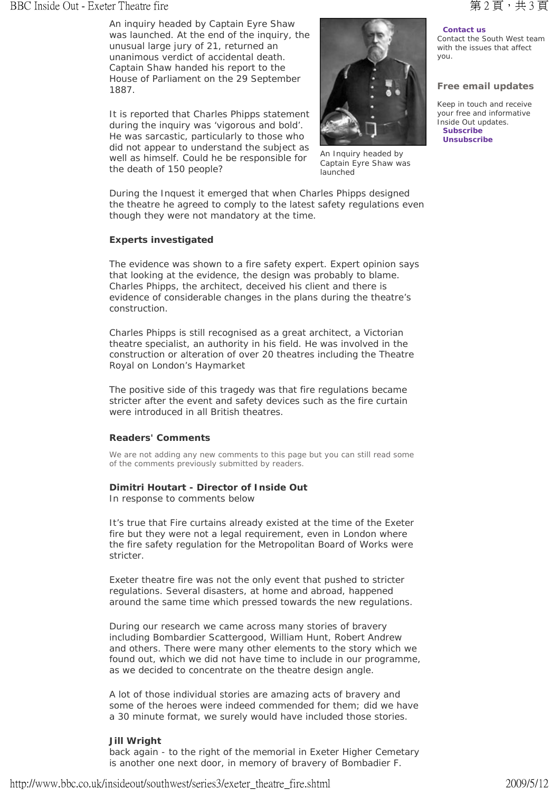# BBC Inside Out - Exeter Theatre fire **and the control of the Control of the Control of the Control of the Sete** 3 頁, 共 3 頁

An inquiry headed by Captain Eyre Shaw was launched. At the end of the inquiry, the unusual large jury of 21, returned an unanimous verdict of accidental death. Captain Shaw handed his report to the House of Parliament on the 29 September 1887.

It is reported that Charles Phipps statement during the inquiry was 'vigorous and bold'. He was sarcastic, particularly to those who did not appear to understand the subject as well as himself. Could he be responsible for the death of 150 people?



An Inquiry headed by Captain Eyre Shaw was launched

During the Inquest it emerged that when Charles Phipps designed the theatre he agreed to comply to the latest safety regulations even though they were not mandatory at the time.

# **Experts investigated**

The evidence was shown to a fire safety expert. Expert opinion says that looking at the evidence, the design was probably to blame. Charles Phipps, the architect, deceived his client and there is evidence of considerable changes in the plans during the theatre's construction.

Charles Phipps is still recognised as a great architect, a Victorian theatre specialist, an authority in his field. He was involved in the construction or alteration of over 20 theatres including the Theatre Royal on London's Haymarket

The positive side of this tragedy was that fire regulations became stricter after the event and safety devices such as the fire curtain were introduced in all British theatres.

## **Readers' Comments**

We are not adding any new comments to this page but you can still read some of the comments previously submitted by readers.

## **Dimitri Houtart - Director of Inside Out**

In response to comments below

It's true that Fire curtains already existed at the time of the Exeter fire but they were not a legal requirement, even in London where the fire safety regulation for the Metropolitan Board of Works were stricter.

Exeter theatre fire was not the only event that pushed to stricter regulations. Several disasters, at home and abroad, happened around the same time which pressed towards the new regulations.

During our research we came across many stories of bravery including Bombardier Scattergood, William Hunt, Robert Andrew and others. There were many other elements to the story which we found out, which we did not have time to include in our programme, as we decided to concentrate on the theatre design angle.

A lot of those individual stories are amazing acts of bravery and some of the heroes were indeed commended for them; did we have a 30 minute format, we surely would have included those stories.

## **Jill Wright**

back again - to the right of the memorial in Exeter Higher Cemetary is another one next door, in memory of bravery of Bombadier F.

# **Contact us**

Contact the South West team with the issues that affect you.

# **Free email updates**

Keep in touch and receive your free and informative Inside Out updates. **Subscribe Unsubscribe**